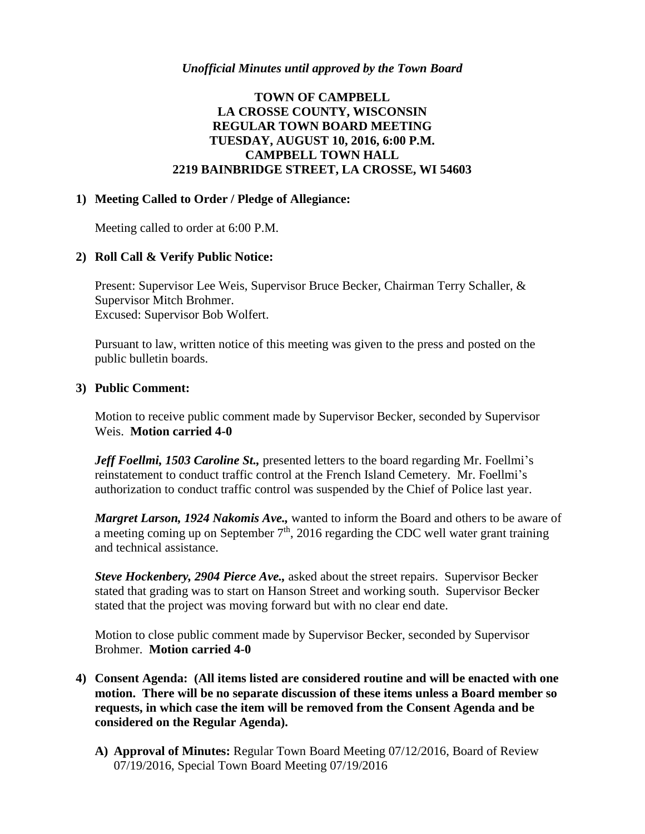### *Unofficial Minutes until approved by the Town Board*

# **TOWN OF CAMPBELL LA CROSSE COUNTY, WISCONSIN REGULAR TOWN BOARD MEETING TUESDAY, AUGUST 10, 2016, 6:00 P.M. CAMPBELL TOWN HALL 2219 BAINBRIDGE STREET, LA CROSSE, WI 54603**

### **1) Meeting Called to Order / Pledge of Allegiance:**

Meeting called to order at 6:00 P.M.

### **2) Roll Call & Verify Public Notice:**

Present: Supervisor Lee Weis, Supervisor Bruce Becker, Chairman Terry Schaller, & Supervisor Mitch Brohmer. Excused: Supervisor Bob Wolfert.

Pursuant to law, written notice of this meeting was given to the press and posted on the public bulletin boards.

### **3) Public Comment:**

Motion to receive public comment made by Supervisor Becker, seconded by Supervisor Weis. **Motion carried 4-0**

*Jeff Foellmi, 1503 Caroline St.,* presented letters to the board regarding Mr. Foellmi's reinstatement to conduct traffic control at the French Island Cemetery. Mr. Foellmi's authorization to conduct traffic control was suspended by the Chief of Police last year.

*Margret Larson, 1924 Nakomis Ave.,* wanted to inform the Board and others to be aware of a meeting coming up on September  $7<sup>th</sup>$ , 2016 regarding the CDC well water grant training and technical assistance.

*Steve Hockenbery, 2904 Pierce Ave.,* asked about the street repairs. Supervisor Becker stated that grading was to start on Hanson Street and working south. Supervisor Becker stated that the project was moving forward but with no clear end date.

Motion to close public comment made by Supervisor Becker, seconded by Supervisor Brohmer. **Motion carried 4-0**

- **4) Consent Agenda: (All items listed are considered routine and will be enacted with one motion. There will be no separate discussion of these items unless a Board member so requests, in which case the item will be removed from the Consent Agenda and be considered on the Regular Agenda).**
	- **A) Approval of Minutes:** Regular Town Board Meeting 07/12/2016, Board of Review 07/19/2016, Special Town Board Meeting 07/19/2016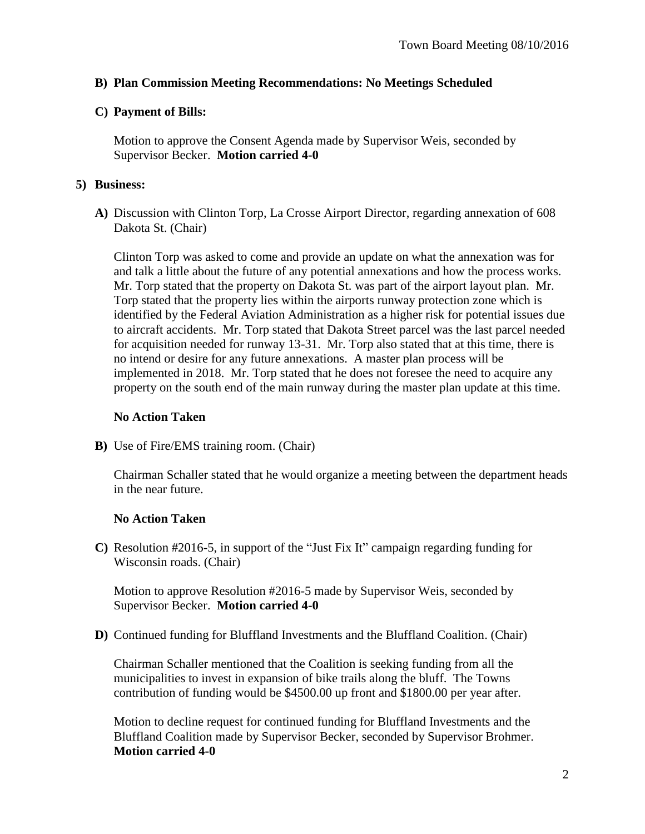## **B) Plan Commission Meeting Recommendations: No Meetings Scheduled**

# **C) Payment of Bills:**

Motion to approve the Consent Agenda made by Supervisor Weis, seconded by Supervisor Becker. **Motion carried 4-0**

# **5) Business:**

**A)** Discussion with Clinton Torp, La Crosse Airport Director, regarding annexation of 608 Dakota St. (Chair)

Clinton Torp was asked to come and provide an update on what the annexation was for and talk a little about the future of any potential annexations and how the process works. Mr. Torp stated that the property on Dakota St. was part of the airport layout plan. Mr. Torp stated that the property lies within the airports runway protection zone which is identified by the Federal Aviation Administration as a higher risk for potential issues due to aircraft accidents. Mr. Torp stated that Dakota Street parcel was the last parcel needed for acquisition needed for runway 13-31. Mr. Torp also stated that at this time, there is no intend or desire for any future annexations. A master plan process will be implemented in 2018. Mr. Torp stated that he does not foresee the need to acquire any property on the south end of the main runway during the master plan update at this time.

# **No Action Taken**

**B)** Use of Fire/EMS training room. (Chair)

Chairman Schaller stated that he would organize a meeting between the department heads in the near future.

# **No Action Taken**

**C)** Resolution #2016-5, in support of the "Just Fix It" campaign regarding funding for Wisconsin roads. (Chair)

Motion to approve Resolution #2016-5 made by Supervisor Weis, seconded by Supervisor Becker. **Motion carried 4-0**

**D)** Continued funding for Bluffland Investments and the Bluffland Coalition. (Chair)

Chairman Schaller mentioned that the Coalition is seeking funding from all the municipalities to invest in expansion of bike trails along the bluff. The Towns contribution of funding would be \$4500.00 up front and \$1800.00 per year after.

Motion to decline request for continued funding for Bluffland Investments and the Bluffland Coalition made by Supervisor Becker, seconded by Supervisor Brohmer. **Motion carried 4-0**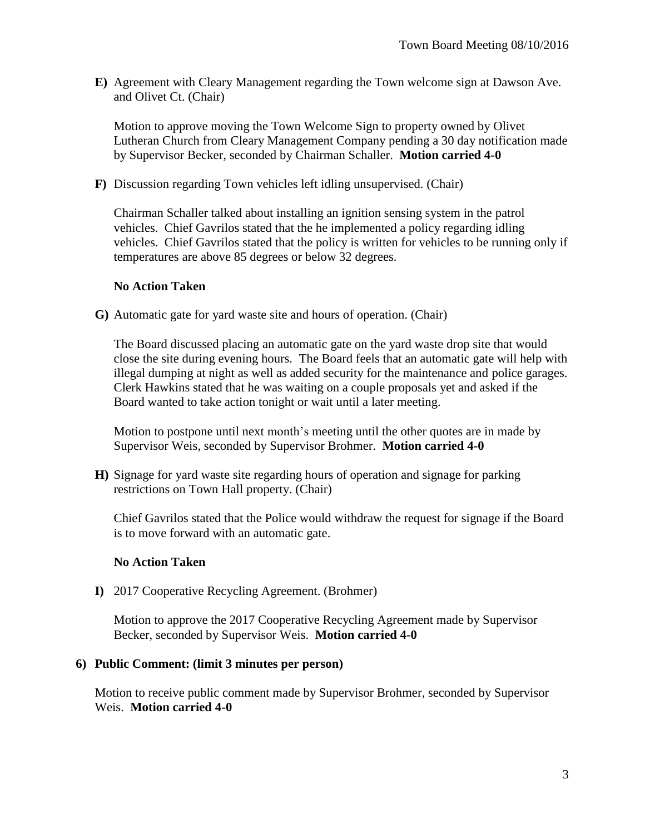**E)** Agreement with Cleary Management regarding the Town welcome sign at Dawson Ave. and Olivet Ct. (Chair)

Motion to approve moving the Town Welcome Sign to property owned by Olivet Lutheran Church from Cleary Management Company pending a 30 day notification made by Supervisor Becker, seconded by Chairman Schaller. **Motion carried 4-0**

**F)** Discussion regarding Town vehicles left idling unsupervised. (Chair)

Chairman Schaller talked about installing an ignition sensing system in the patrol vehicles. Chief Gavrilos stated that the he implemented a policy regarding idling vehicles. Chief Gavrilos stated that the policy is written for vehicles to be running only if temperatures are above 85 degrees or below 32 degrees.

## **No Action Taken**

**G)** Automatic gate for yard waste site and hours of operation. (Chair)

The Board discussed placing an automatic gate on the yard waste drop site that would close the site during evening hours. The Board feels that an automatic gate will help with illegal dumping at night as well as added security for the maintenance and police garages. Clerk Hawkins stated that he was waiting on a couple proposals yet and asked if the Board wanted to take action tonight or wait until a later meeting.

Motion to postpone until next month's meeting until the other quotes are in made by Supervisor Weis, seconded by Supervisor Brohmer. **Motion carried 4-0**

**H)** Signage for yard waste site regarding hours of operation and signage for parking restrictions on Town Hall property. (Chair)

Chief Gavrilos stated that the Police would withdraw the request for signage if the Board is to move forward with an automatic gate.

## **No Action Taken**

**I)** 2017 Cooperative Recycling Agreement. (Brohmer)

Motion to approve the 2017 Cooperative Recycling Agreement made by Supervisor Becker, seconded by Supervisor Weis. **Motion carried 4-0**

### **6) Public Comment: (limit 3 minutes per person)**

Motion to receive public comment made by Supervisor Brohmer, seconded by Supervisor Weis. **Motion carried 4-0**